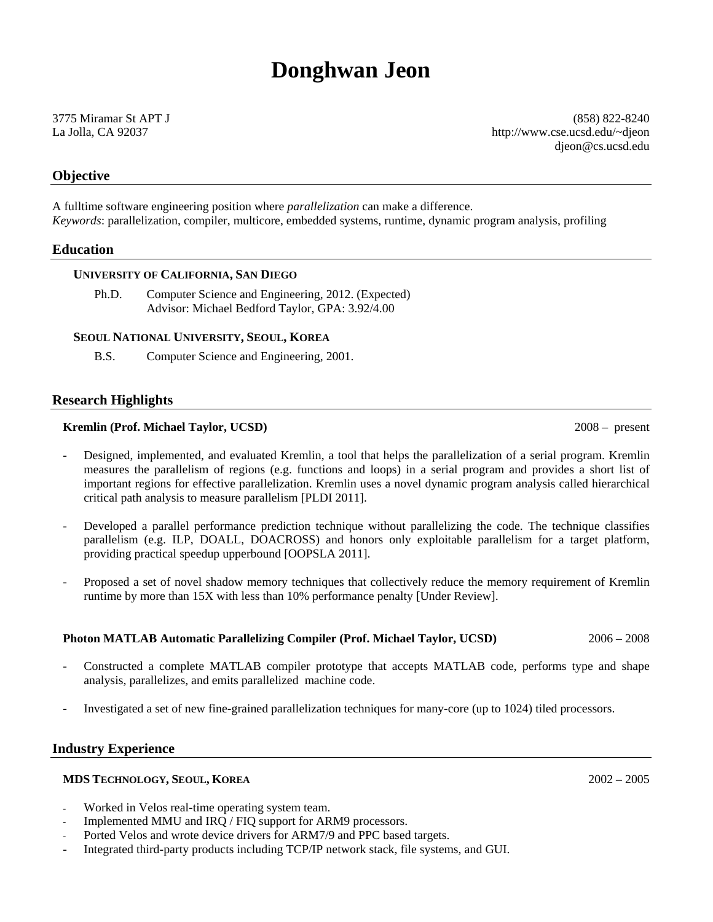# **Donghwan Jeon**

3775 Miramar St APT J (858) 822-8240 La Jolla, CA 92037 http://www.cse.ucsd.edu/~djeon djeon@cs.ucsd.edu

# **Objective**

A fulltime software engineering position where *parallelization* can make a difference. *Keywords*: parallelization, compiler, multicore, embedded systems, runtime, dynamic program analysis, profiling

# **Education**

#### **UNIVERSITY OF CALIFORNIA, SAN DIEGO**

Ph.D. Computer Science and Engineering, 2012. (Expected) Advisor: Michael Bedford Taylor, GPA: 3.92/4.00

### **SEOUL NATIONAL UNIVERSITY, SEOUL, KOREA**

B.S. Computer Science and Engineering, 2001.

# **Research Highlights**

### **Kremlin (Prof. Michael Taylor, UCSD)** 2008 – present

- Designed, implemented, and evaluated Kremlin, a tool that helps the parallelization of a serial program. Kremlin measures the parallelism of regions (e.g. functions and loops) in a serial program and provides a short list of important regions for effective parallelization. Kremlin uses a novel dynamic program analysis called hierarchical critical path analysis to measure parallelism [PLDI 2011].
- Developed a parallel performance prediction technique without parallelizing the code. The technique classifies parallelism (e.g. ILP, DOALL, DOACROSS) and honors only exploitable parallelism for a target platform, providing practical speedup upperbound [OOPSLA 2011].
- Proposed a set of novel shadow memory techniques that collectively reduce the memory requirement of Kremlin runtime by more than 15X with less than 10% performance penalty [Under Review].

#### **Photon MATLAB Automatic Parallelizing Compiler (Prof. Michael Taylor, UCSD)** 2006 – 2008

- Constructed a complete MATLAB compiler prototype that accepts MATLAB code, performs type and shape analysis, parallelizes, and emits parallelized machine code.
- Investigated a set of new fine-grained parallelization techniques for many-core (up to 1024) tiled processors.

# **Industry Experience**

#### **MDS TECHNOLOGY, SEOUL, KOREA** 2002 – 2005

- Worked in Velos real-time operating system team.
- Implemented MMU and IRQ / FIQ support for ARM9 processors.
- Ported Velos and wrote device drivers for ARM7/9 and PPC based targets.
- Integrated third-party products including TCP/IP network stack, file systems, and GUI.